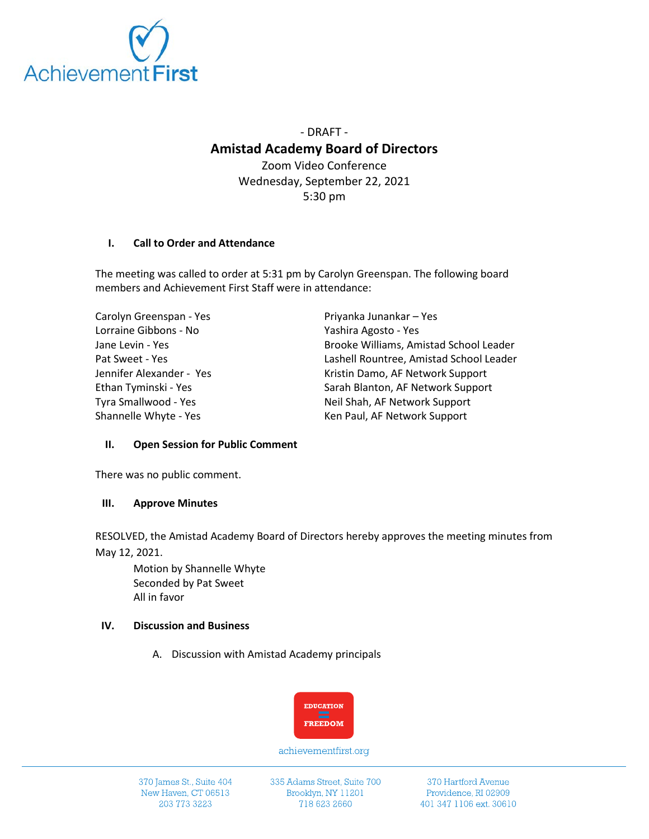

# - DRAFT - **Amistad Academy Board of Directors** Zoom Video Conference Wednesday, September 22, 2021

5:30 pm

## **I. Call to Order and Attendance**

The meeting was called to order at 5:31 pm by Carolyn Greenspan. The following board members and Achievement First Staff were in attendance:

Carolyn Greenspan - Yes Priyanka Junankar – Yes Lorraine Gibbons - No Yashira Agosto - Yes

Jane Levin - Yes **Brooke Williams, Amistad School Leader** Pat Sweet - Yes **Lashell Rountree, Amistad School Leader** Lashell Rountree, Amistad School Leader Jennifer Alexander - Yes Kristin Damo, AF Network Support Ethan Tyminski - Yes Sarah Blanton, AF Network Support Tyra Smallwood - Yes Neil Shah, AF Network Support Shannelle Whyte - Yes Manuel Channelle Whyte - Yes Ken Paul, AF Network Support

### **II. Open Session for Public Comment**

There was no public comment.

### **III. Approve Minutes**

RESOLVED, the Amistad Academy Board of Directors hereby approves the meeting minutes from May 12, 2021.

Motion by Shannelle Whyte Seconded by Pat Sweet All in favor

### **IV. Discussion and Business**

A. Discussion with Amistad Academy principals



achievementfirst.org

335 Adams Street, Suite 700 Brooklyn, NY 11201 718 623 2660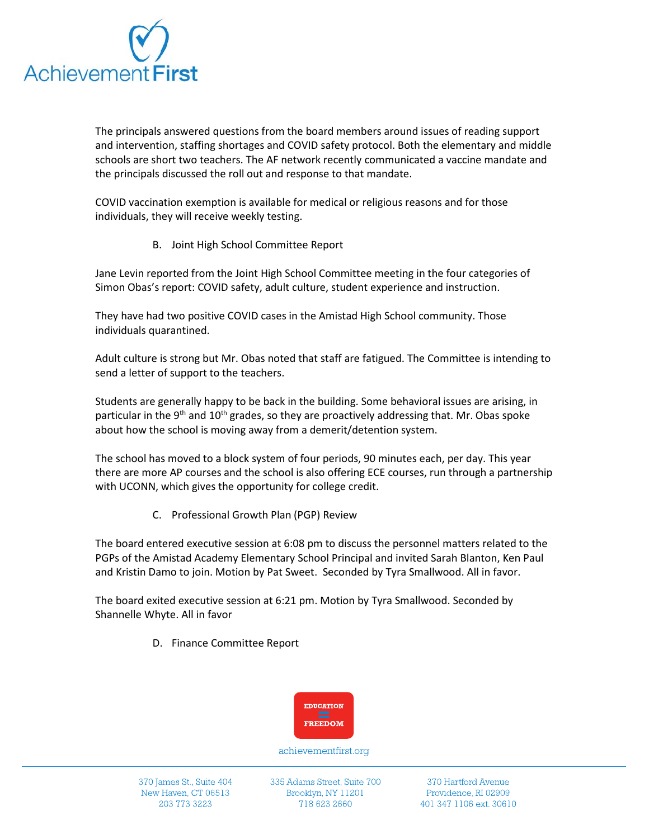

The principals answered questions from the board members around issues of reading support and intervention, staffing shortages and COVID safety protocol. Both the elementary and middle schools are short two teachers. The AF network recently communicated a vaccine mandate and the principals discussed the roll out and response to that mandate.

COVID vaccination exemption is available for medical or religious reasons and for those individuals, they will receive weekly testing.

B. Joint High School Committee Report

Jane Levin reported from the Joint High School Committee meeting in the four categories of Simon Obas's report: COVID safety, adult culture, student experience and instruction.

They have had two positive COVID cases in the Amistad High School community. Those individuals quarantined.

Adult culture is strong but Mr. Obas noted that staff are fatigued. The Committee is intending to send a letter of support to the teachers.

Students are generally happy to be back in the building. Some behavioral issues are arising, in particular in the 9<sup>th</sup> and 10<sup>th</sup> grades, so they are proactively addressing that. Mr. Obas spoke about how the school is moving away from a demerit/detention system.

The school has moved to a block system of four periods, 90 minutes each, per day. This year there are more AP courses and the school is also offering ECE courses, run through a partnership with UCONN, which gives the opportunity for college credit.

C. Professional Growth Plan (PGP) Review

The board entered executive session at 6:08 pm to discuss the personnel matters related to the PGPs of the Amistad Academy Elementary School Principal and invited Sarah Blanton, Ken Paul and Kristin Damo to join. Motion by Pat Sweet. Seconded by Tyra Smallwood. All in favor.

The board exited executive session at 6:21 pm. Motion by Tyra Smallwood. Seconded by Shannelle Whyte. All in favor

D. Finance Committee Report



achievementfirst.org

370 James St., Suite 404 New Haven, CT 06513 203 773 3223

335 Adams Street, Suite 700 Brooklyn, NY 11201 718 623 2660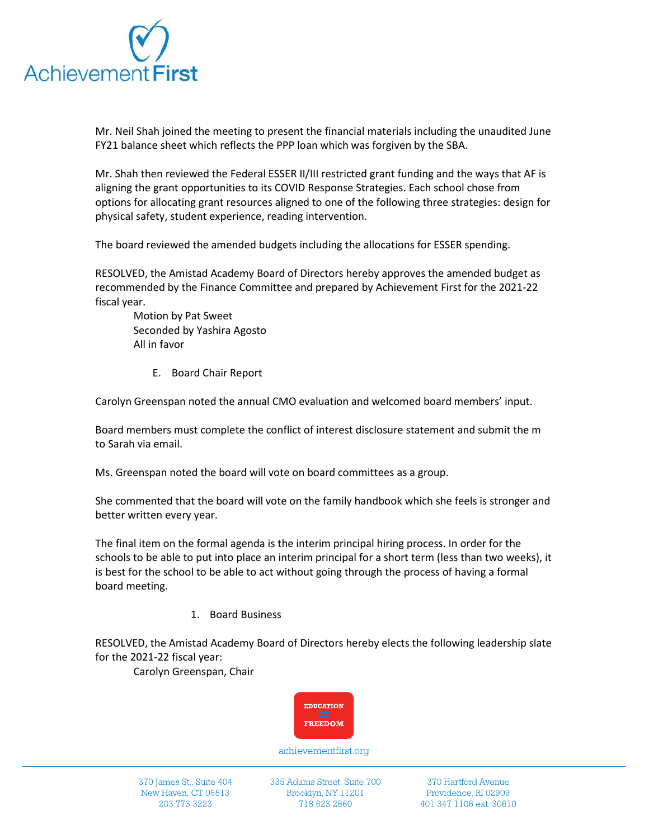

Mr. Neil Shah joined the meeting to present the financial materials including the unaudited June FY21 balance sheet which reflects the PPP loan which was forgiven by the SBA.

Mr. Shah then reviewed the Federal ESSER II/III restricted grant funding and the ways that AF is aligning the grant opportunities to its COVID Response Strategies. Each school chose from options for allocating grant resources aligned to one of the following three strategies: design for physical safety, student experience, reading intervention.

The board reviewed the amended budgets including the allocations for ESSER spending.

RESOLVED, the Amistad Academy Board of Directors hereby approves the amended budget as recommended by the Finance Committee and prepared by Achievement First for the 2021-22 fiscal year.

Motion by Pat Sweet Seconded by Yashira Agosto All in favor

E. Board Chair Report

Carolyn Greenspan noted the annual CMO evaluation and welcomed board members' input.

Board members must complete the conflict of interest disclosure statement and submit the m to Sarah via email.

Ms. Greenspan noted the board will vote on board committees as a group.

She commented that the board will vote on the family handbook which she feels is stronger and better written every year.

The final item on the formal agenda is the interim principal hiring process. In order for the schools to be able to put into place an interim principal for a short term (less than two weeks), it is best for the school to be able to act without going through the process of having a formal board meeting.

1. Board Business

RESOLVED, the Amistad Academy Board of Directors hereby elects the following leadership slate for the 2021-22 fiscal year:

Carolyn Greenspan, Chair



achievementfirst.org

370 James St., Suite 404 New Haven, CT 06513 203 773 3223

335 Adams Street, Suite 700 Brooklyn, NY 11201 718 623 2660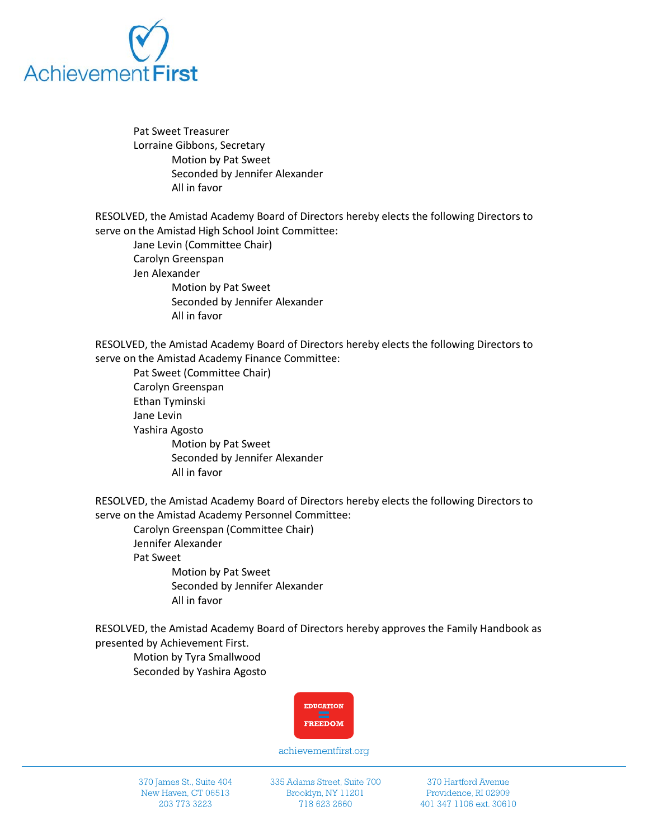

Pat Sweet Treasurer Lorraine Gibbons, Secretary Motion by Pat Sweet Seconded by Jennifer Alexander All in favor

RESOLVED, the Amistad Academy Board of Directors hereby elects the following Directors to serve on the Amistad High School Joint Committee:

Jane Levin (Committee Chair) Carolyn Greenspan Jen Alexander Motion by Pat Sweet Seconded by Jennifer Alexander All in favor

RESOLVED, the Amistad Academy Board of Directors hereby elects the following Directors to serve on the Amistad Academy Finance Committee:

Pat Sweet (Committee Chair) Carolyn Greenspan Ethan Tyminski Jane Levin Yashira Agosto Motion by Pat Sweet Seconded by Jennifer Alexander All in favor

RESOLVED, the Amistad Academy Board of Directors hereby elects the following Directors to serve on the Amistad Academy Personnel Committee:

Carolyn Greenspan (Committee Chair) Jennifer Alexander Pat Sweet Motion by Pat Sweet Seconded by Jennifer Alexander All in favor

RESOLVED, the Amistad Academy Board of Directors hereby approves the Family Handbook as presented by Achievement First.

Motion by Tyra Smallwood Seconded by Yashira Agosto



achievementfirst.org

370 James St., Suite 404 New Haven, CT 06513 203 773 3223

335 Adams Street, Suite 700 Brooklyn, NY 11201 718 623 2660